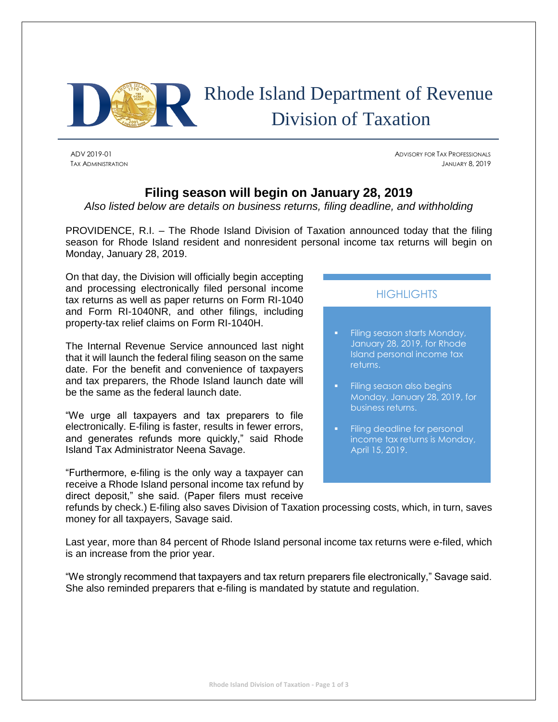

# Rhode Island Department of Revenue Division of Taxation

ADV 2019-01 ADVISORY FOR TAX PROFESSIONALS TAX ADMINISTRATION JANUARY 8, 2019

# **Filing season will begin on January 28, 2019**

*Also listed below are details on business returns, filing deadline, and withholding*

PROVIDENCE, R.I. – The Rhode Island Division of Taxation announced today that the filing season for Rhode Island resident and nonresident personal income tax returns will begin on Monday, January 28, 2019.

On that day, the Division will officially begin accepting and processing electronically filed personal income tax returns as well as paper returns on Form RI-1040 and Form RI-1040NR, and other filings, including property-tax relief claims on Form RI-1040H.

The Internal Revenue Service announced last night that it will launch the federal filing season on the same date. For the benefit and convenience of taxpayers and tax preparers, the Rhode Island launch date will be the same as the federal launch date.

"We urge all taxpayers and tax preparers to file electronically. E-filing is faster, results in fewer errors, and generates refunds more quickly," said Rhode Island Tax Administrator Neena Savage.

"Furthermore, e-filing is the only way a taxpayer can receive a Rhode Island personal income tax refund by direct deposit," she said. (Paper filers must receive

## **HIGHLIGHTS**

- Filing season starts Monday, January 28, 2019, for Rhode Island personal income tax returns.
- Filing season also begins Monday, January 28, 2019, for business returns.
- Filing deadline for personal income tax returns is Monday, April 15, 2019.

refunds by check.) E-filing also saves Division of Taxation processing costs, which, in turn, saves money for all taxpayers, Savage said.

Last year, more than 84 percent of Rhode Island personal income tax returns were e-filed, which is an increase from the prior year.

"We strongly recommend that taxpayers and tax return preparers file electronically," Savage said. She also reminded preparers that e-filing is mandated by statute and regulation.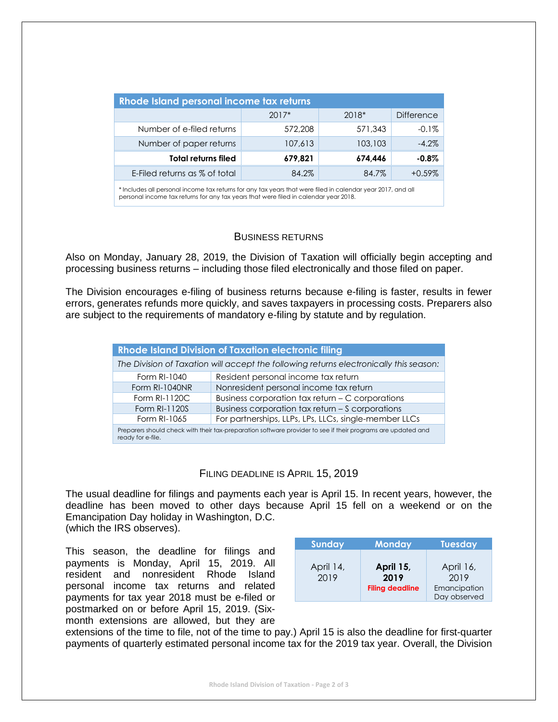| Rhode Island personal income tax returns |         |         |                   |  |  |  |
|------------------------------------------|---------|---------|-------------------|--|--|--|
|                                          | $2017*$ | 2018*   | <b>Difference</b> |  |  |  |
| Number of e-filed returns                | 572,208 | 571,343 | $-0.1%$           |  |  |  |
| Number of paper returns                  | 107,613 | 103,103 | $-4.2%$           |  |  |  |
| <b>Total returns filed</b>               | 679,821 | 674.446 | $-0.8\%$          |  |  |  |
| E-Filed returns as % of total            | 84.2%   | 84.7%   | $+0.59%$          |  |  |  |

\* Includes all personal income tax returns for any tax years that were filed in calendar year 2017, and all personal income tax returns for any tax years that were filed in calendar year 2018.

### BUSINESS RETURNS

Also on Monday, January 28, 2019, the Division of Taxation will officially begin accepting and processing business returns – including those filed electronically and those filed on paper.

The Division encourages e-filing of business returns because e-filing is faster, results in fewer errors, generates refunds more quickly, and saves taxpayers in processing costs. Preparers also are subject to the requirements of mandatory e-filing by statute and by regulation.

| <b>Rhode Island Division of Taxation electronic filing</b>                                                                        |                                                       |  |  |  |
|-----------------------------------------------------------------------------------------------------------------------------------|-------------------------------------------------------|--|--|--|
| The Division of Taxation will accept the following returns electronically this season:                                            |                                                       |  |  |  |
| Form RI-1040                                                                                                                      | Resident personal income tax return                   |  |  |  |
| Form RI-1040NR                                                                                                                    | Nonresident personal income tax return                |  |  |  |
| Form RI-1120C                                                                                                                     | Business corporation tax return - C corporations      |  |  |  |
| Form RI-1120S                                                                                                                     | Business corporation tax return - S corporations      |  |  |  |
| Form RI-1065                                                                                                                      | For partnerships, LLPs, LPs, LLCs, single-member LLCs |  |  |  |
| Preparers should check with their tax-preparation software provider to see if their programs are updated and<br>ready for e-file. |                                                       |  |  |  |

### FILING DEADLINE IS APRIL 15, 2019

The usual deadline for filings and payments each year is April 15. In recent years, however, the deadline has been moved to other days because April 15 fell on a weekend or on the Emancipation Day holiday in Washington, D.C.

(which the IRS observes).

This season, the deadline for filings and payments is Monday, April 15, 2019. All resident and nonresident Rhode Island personal income tax returns and related payments for tax year 2018 must be e-filed or postmarked on or before April 15, 2019. (Sixmonth extensions are allowed, but they are

| <b>Sunday</b>     | <b>Monday</b>                               | <b>Tuesday</b>                                    |
|-------------------|---------------------------------------------|---------------------------------------------------|
| April 14,<br>2019 | April 15,<br>2019<br><b>Filing deadline</b> | April 16,<br>2019<br>Emancipation<br>Day observed |

extensions of the time to file, not of the time to pay.) April 15 is also the deadline for first-quarter payments of quarterly estimated personal income tax for the 2019 tax year. Overall, the Division